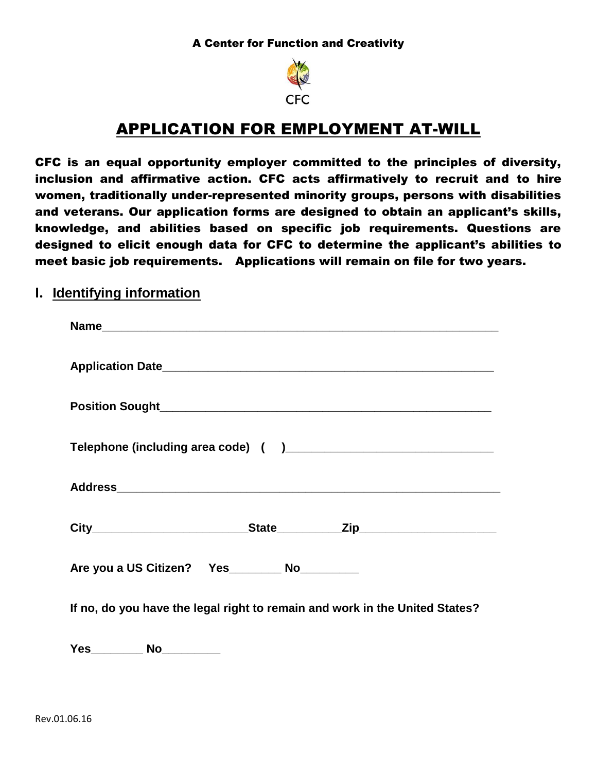

# APPLICATION FOR EMPLOYMENT AT-WILL

CFC is an equal opportunity employer committed to the principles of diversity, inclusion and affirmative action. CFC acts affirmatively to recruit and to hire women, traditionally under-represented minority groups, persons with disabilities and veterans. Our application forms are designed to obtain an applicant's skills, knowledge, and abilities based on specific job requirements. Questions are designed to elicit enough data for CFC to determine the applicant's abilities to meet basic job requirements. Applications will remain on file for two years.

## **I. Identifying information**

| Are you a US Citizen? Yes __________ No__________                           |  |
|-----------------------------------------------------------------------------|--|
| If no, do you have the legal right to remain and work in the United States? |  |
| Yes_________ No_________                                                    |  |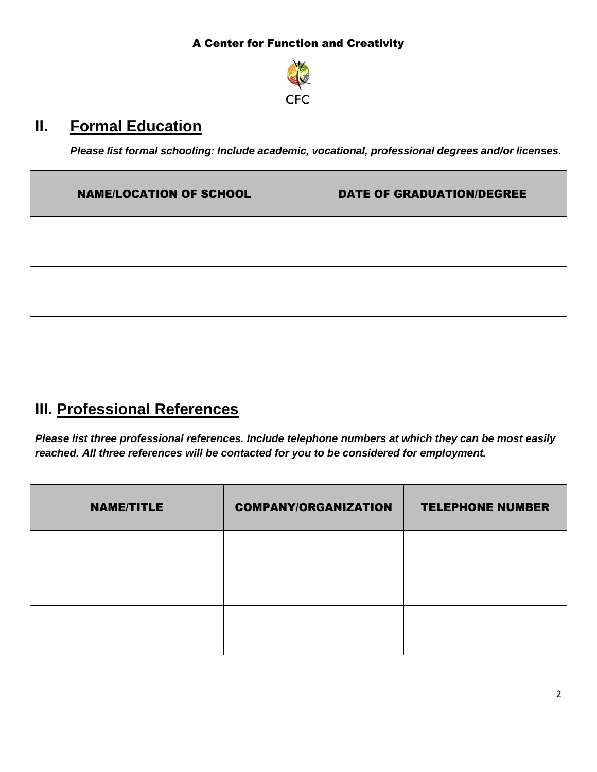

# **II. Formal Education**

*Please list formal schooling: Include academic, vocational, professional degrees and/or licenses.*

| <b>NAME/LOCATION OF SCHOOL</b> | <b>DATE OF GRADUATION/DEGREE</b> |
|--------------------------------|----------------------------------|
|                                |                                  |
|                                |                                  |
|                                |                                  |

# **III. Professional References**

*Please list three professional references. Include telephone numbers at which they can be most easily reached. All three references will be contacted for you to be considered for employment.*

| <b>NAME/TITLE</b> | <b>COMPANY/ORGANIZATION</b> | <b>TELEPHONE NUMBER</b> |
|-------------------|-----------------------------|-------------------------|
|                   |                             |                         |
|                   |                             |                         |
|                   |                             |                         |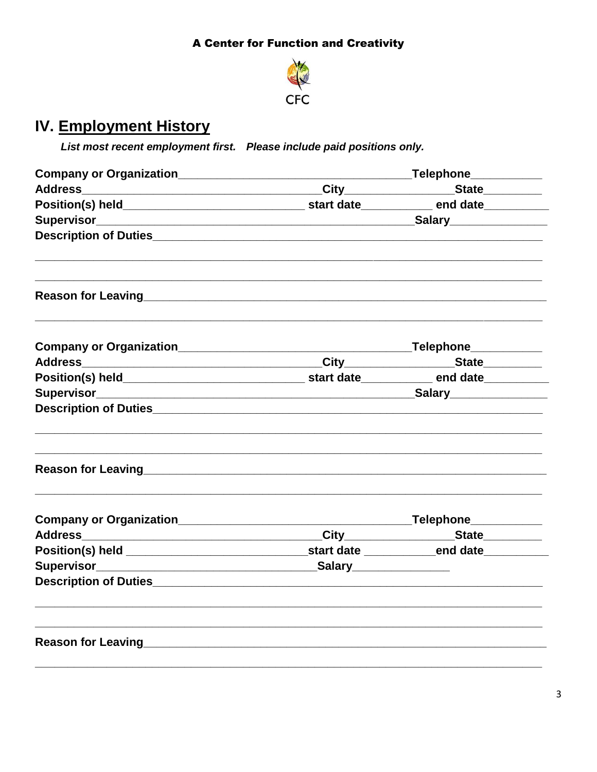

# IV. Employment History

List most recent employment first. Please include paid positions only.

| Description of Duties                                                                                                                                                                                                                |  |
|--------------------------------------------------------------------------------------------------------------------------------------------------------------------------------------------------------------------------------------|--|
|                                                                                                                                                                                                                                      |  |
|                                                                                                                                                                                                                                      |  |
|                                                                                                                                                                                                                                      |  |
|                                                                                                                                                                                                                                      |  |
|                                                                                                                                                                                                                                      |  |
| Description of Duties <b>Executive Contract Contract Contract Contract Contract Contract Contract Contract Contract Contract Contract Contract Contract Contract Contract Contract Contract Contract Contract Contract Contract </b> |  |
|                                                                                                                                                                                                                                      |  |
|                                                                                                                                                                                                                                      |  |
|                                                                                                                                                                                                                                      |  |
|                                                                                                                                                                                                                                      |  |
|                                                                                                                                                                                                                                      |  |
|                                                                                                                                                                                                                                      |  |
|                                                                                                                                                                                                                                      |  |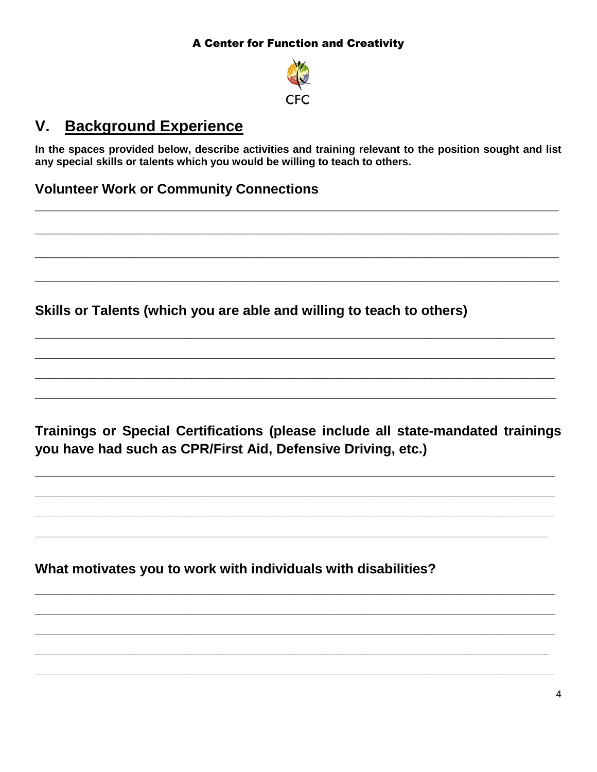

#### **Background Experience**  $V_{-}$

In the spaces provided below, describe activities and training relevant to the position sought and list any special skills or talents which you would be willing to teach to others.

## **Volunteer Work or Community Connections**

Skills or Talents (which you are able and willing to teach to others)

Trainings or Special Certifications (please include all state-mandated trainings you have had such as CPR/First Aid, Defensive Driving, etc.)

What motivates you to work with individuals with disabilities?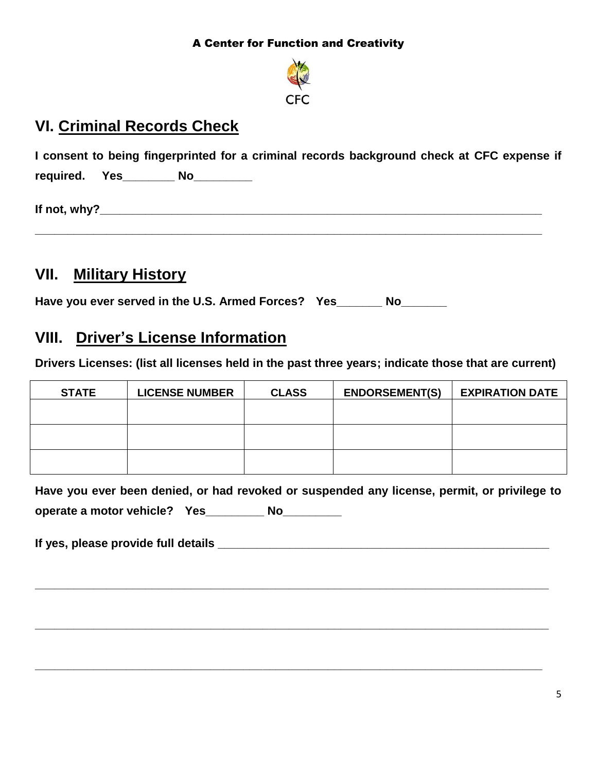

# **VI. Criminal Records Check**

**I consent to being fingerprinted for a criminal records background check at CFC expense if** 

**\_\_\_\_\_\_\_\_\_\_\_\_\_\_\_\_\_\_\_\_\_\_\_\_\_\_\_\_\_\_\_\_\_\_\_\_\_\_\_\_\_\_\_\_\_\_\_\_\_\_\_\_\_\_\_\_\_\_\_\_\_\_\_\_\_\_\_\_\_\_\_\_\_\_\_\_\_\_**

**required. Yes\_\_\_\_\_\_\_\_ No\_\_\_\_\_\_\_\_\_**

If not, why?

# **VII. Military History**

**Have you ever served in the U.S. Armed Forces? Yes\_\_\_\_\_\_\_ No\_\_\_\_\_\_\_**

# **VIII. Driver's License Information**

**Drivers Licenses: (list all licenses held in the past three years; indicate those that are current)**

| <b>STATE</b> | <b>LICENSE NUMBER</b> | <b>CLASS</b> | <b>ENDORSEMENT(S)</b> | <b>EXPIRATION DATE</b> |
|--------------|-----------------------|--------------|-----------------------|------------------------|
|              |                       |              |                       |                        |
|              |                       |              |                       |                        |
|              |                       |              |                       |                        |
|              |                       |              |                       |                        |
|              |                       |              |                       |                        |

| Have you ever been denied, or had revoked or suspended any license, permit, or privilege to |  |  |  |
|---------------------------------------------------------------------------------------------|--|--|--|
| operate a motor vehicle? Yes                                                                |  |  |  |

**If yes, please provide full details \_\_\_\_\_\_\_\_\_\_\_\_\_\_\_\_\_\_\_\_\_\_\_\_\_\_\_\_\_\_\_\_\_\_\_\_\_\_\_\_\_\_\_\_\_\_\_\_\_\_\_**

**\_\_\_\_\_\_\_\_\_\_\_\_\_\_\_\_\_\_\_\_\_\_\_\_\_\_\_\_\_\_\_\_\_\_\_\_\_\_\_\_\_\_\_\_\_\_\_\_\_\_\_\_\_\_\_\_\_\_\_\_\_\_\_\_\_\_\_\_\_\_\_\_\_\_\_\_\_\_\_**

**\_\_\_\_\_\_\_\_\_\_\_\_\_\_\_\_\_\_\_\_\_\_\_\_\_\_\_\_\_\_\_\_\_\_\_\_\_\_\_\_\_\_\_\_\_\_\_\_\_\_\_\_\_\_\_\_\_\_\_\_\_\_\_\_\_\_\_\_\_\_\_\_\_\_\_\_\_\_\_**

**\_\_\_\_\_\_\_\_\_\_\_\_\_\_\_\_\_\_\_\_\_\_\_\_\_\_\_\_\_\_\_\_\_\_\_\_\_\_\_\_\_\_\_\_\_\_\_\_\_\_\_\_\_\_\_\_\_\_\_\_\_\_\_\_\_\_\_\_\_\_\_\_\_\_\_\_\_\_**